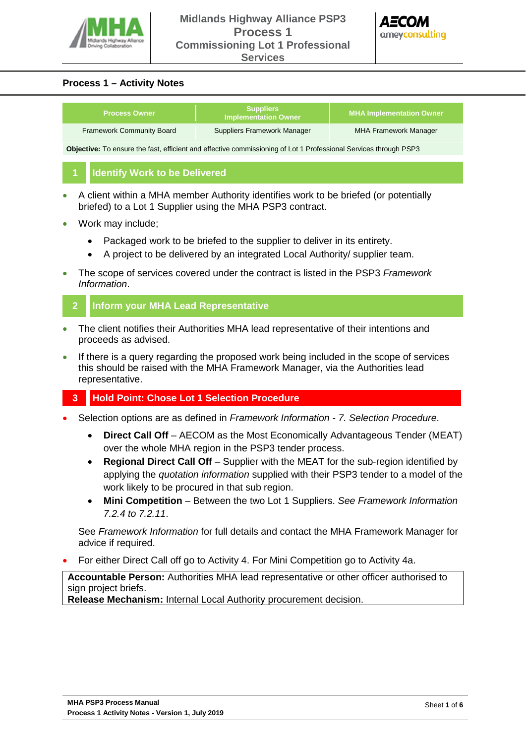



# **Process 1 – Activity Notes**

| <b>Process Owner</b>                                                                                                    |                                      | <b>Suppliers</b><br><b>Implementation Owner</b> | <b>MHA Implementation Owner</b> |
|-------------------------------------------------------------------------------------------------------------------------|--------------------------------------|-------------------------------------------------|---------------------------------|
| <b>Framework Community Board</b>                                                                                        |                                      | <b>Suppliers Framework Manager</b>              | <b>MHA Framework Manager</b>    |
| <b>Objective:</b> To ensure the fast, efficient and effective commissioning of Lot 1 Professional Services through PSP3 |                                      |                                                 |                                 |
|                                                                                                                         | <b>Identify Work to be Delivered</b> |                                                 |                                 |
|                                                                                                                         |                                      |                                                 |                                 |

- A client within a MHA member Authority identifies work to be briefed (or potentially briefed) to a Lot 1 Supplier using the MHA PSP3 contract.
- Work may include;
	- Packaged work to be briefed to the supplier to deliver in its entirety.
	- A project to be delivered by an integrated Local Authority/ supplier team.
- The scope of services covered under the contract is listed in the PSP3 *Framework Information*.

# **2 Inform your MHA Lead Representative**

- The client notifies their Authorities MHA lead representative of their intentions and proceeds as advised.
- If there is a query regarding the proposed work being included in the scope of services this should be raised with the MHA Framework Manager, via the Authorities lead representative.

# **3 Hold Point: Chose Lot 1 Selection Procedure**

- Selection options are as defined in *Framework Information 7. Selection Procedure*.
	- **Direct Call Off** AECOM as the Most Economically Advantageous Tender (MEAT) over the whole MHA region in the PSP3 tender process.
	- **Regional Direct Call Off** Supplier with the MEAT for the sub-region identified by applying the *quotation information* supplied with their PSP3 tender to a model of the work likely to be procured in that sub region.
	- **Mini Competition** Between the two Lot 1 Suppliers. *See Framework Information 7.2.4 to 7.2.11*.

See *Framework Information* for full details and contact the MHA Framework Manager for advice if required.

• For either Direct Call off go to Activity 4. For Mini Competition go to Activity 4a.

**Accountable Person:** Authorities MHA lead representative or other officer authorised to sign project briefs.

**Release Mechanism:** Internal Local Authority procurement decision.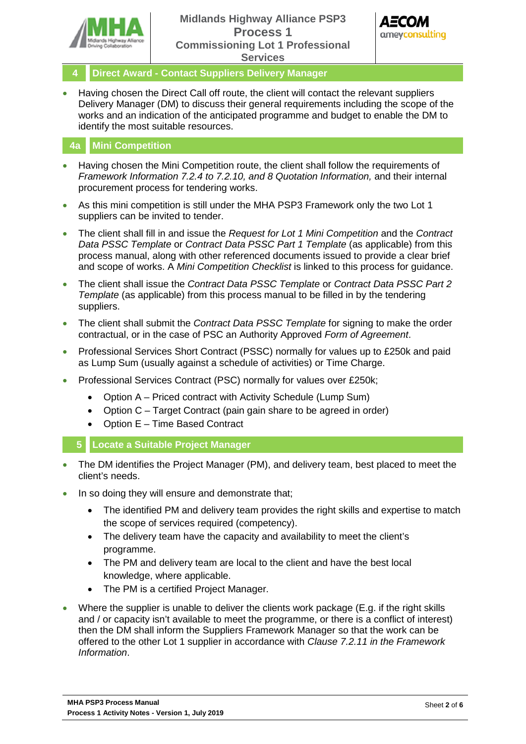



- **4 Direct Award Contact Suppliers Delivery Manager**
- Having chosen the Direct Call off route, the client will contact the relevant suppliers Delivery Manager (DM) to discuss their general requirements including the scope of the works and an indication of the anticipated programme and budget to enable the DM to identify the most suitable resources.

#### **4a Mini Competition**

- Having chosen the Mini Competition route, the client shall follow the requirements of *Framework Information 7.2.4 to 7.2.10, and 8 Quotation Information,* and their internal procurement process for tendering works.
- As this mini competition is still under the MHA PSP3 Framework only the two Lot 1 suppliers can be invited to tender.
- The client shall fill in and issue the *Request for Lot 1 Mini Competition* and the *Contract Data PSSC Template* or *Contract Data PSSC Part 1 Template* (as applicable) from this process manual, along with other referenced documents issued to provide a clear brief and scope of works. A *Mini Competition Checklist* is linked to this process for guidance.
- The client shall issue the *Contract Data PSSC Template* or *Contract Data PSSC Part 2 Template* (as applicable) from this process manual to be filled in by the tendering suppliers.
- The client shall submit the *Contract Data PSSC Template* for signing to make the order contractual, or in the case of PSC an Authority Approved *Form of Agreement*.
- Professional Services Short Contract (PSSC) normally for values up to £250k and paid as Lump Sum (usually against a schedule of activities) or Time Charge.
- Professional Services Contract (PSC) normally for values over £250k;
	- Option A Priced contract with Activity Schedule (Lump Sum)
	- Option C Target Contract (pain gain share to be agreed in order)
	- Option E Time Based Contract
	- **5 Locate a Suitable Project Manager**
- The DM identifies the Project Manager (PM), and delivery team, best placed to meet the client's needs.
- In so doing they will ensure and demonstrate that;
	- The identified PM and delivery team provides the right skills and expertise to match the scope of services required (competency).
	- The delivery team have the capacity and availability to meet the client's programme.
	- The PM and delivery team are local to the client and have the best local knowledge, where applicable.
	- The PM is a certified Project Manager.
- Where the supplier is unable to deliver the clients work package (E.g. if the right skills and / or capacity isn't available to meet the programme, or there is a conflict of interest) then the DM shall inform the Suppliers Framework Manager so that the work can be offered to the other Lot 1 supplier in accordance with *Clause 7.2.11 in the Framework Information*.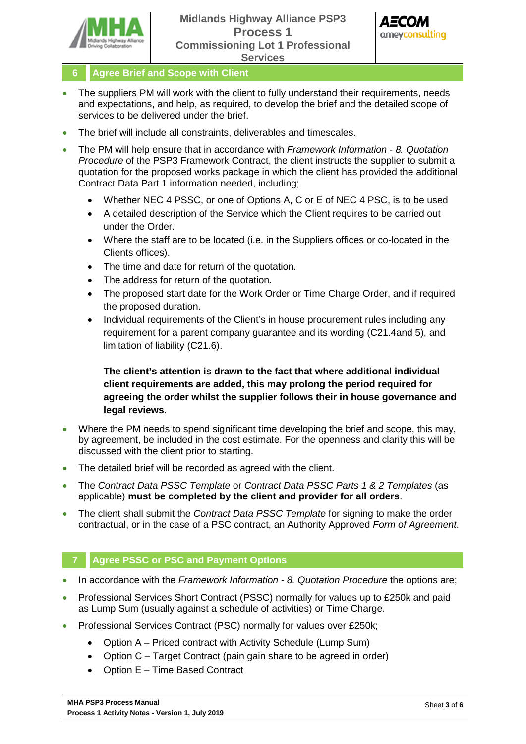



**6 Agree Brief and Scope with Client** 

- The suppliers PM will work with the client to fully understand their requirements, needs and expectations, and help, as required, to develop the brief and the detailed scope of services to be delivered under the brief.
- The brief will include all constraints, deliverables and timescales.
- The PM will help ensure that in accordance with *Framework Information 8. Quotation Procedure* of the PSP3 Framework Contract, the client instructs the supplier to submit a quotation for the proposed works package in which the client has provided the additional Contract Data Part 1 information needed, including;
	- Whether NEC 4 PSSC, or one of Options A, C or E of NEC 4 PSC, is to be used
	- A detailed description of the Service which the Client requires to be carried out under the Order.
	- Where the staff are to be located (i.e. in the Suppliers offices or co-located in the Clients offices).
	- The time and date for return of the quotation.
	- The address for return of the quotation.
	- The proposed start date for the Work Order or Time Charge Order, and if required the proposed duration.
	- Individual requirements of the Client's in house procurement rules including any requirement for a parent company guarantee and its wording (C21.4and 5), and limitation of liability (C21.6).

**The client's attention is drawn to the fact that where additional individual client requirements are added, this may prolong the period required for agreeing the order whilst the supplier follows their in house governance and legal reviews**.

- Where the PM needs to spend significant time developing the brief and scope, this may, by agreement, be included in the cost estimate. For the openness and clarity this will be discussed with the client prior to starting.
- The detailed brief will be recorded as agreed with the client.
- The *Contract Data PSSC Template* or *Contract Data PSSC Parts 1 & 2 Templates* (as applicable) **must be completed by the client and provider for all orders**.
- The client shall submit the *Contract Data PSSC Template* for signing to make the order contractual, or in the case of a PSC contract, an Authority Approved *Form of Agreement*.

# **7 Agree PSSC or PSC and Payment Options**

- In accordance with the *Framework Information 8. Quotation Procedure* the options are;
- Professional Services Short Contract (PSSC) normally for values up to £250k and paid as Lump Sum (usually against a schedule of activities) or Time Charge.
- Professional Services Contract (PSC) normally for values over £250k;
	- Option A Priced contract with Activity Schedule (Lump Sum)
	- Option C Target Contract (pain gain share to be agreed in order)
	- Option E Time Based Contract